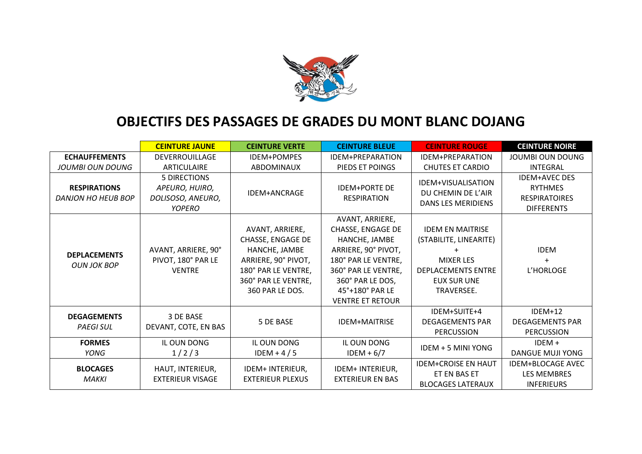

## **OBJECTIFS DES PASSAGES DE GRADES DU MONT BLANC DOJANG**

|                                           | <b>CEINTURE JAUNE</b>                                                | <b>CEINTURE VERTE</b>                                                                                                                         | <b>CEINTURE BLEUE</b>                                                                                                                                                                        | <b>CEINTURE ROUGE</b>                                                                                                                  | <b>CEINTURE NOIRE</b>                                                               |
|-------------------------------------------|----------------------------------------------------------------------|-----------------------------------------------------------------------------------------------------------------------------------------------|----------------------------------------------------------------------------------------------------------------------------------------------------------------------------------------------|----------------------------------------------------------------------------------------------------------------------------------------|-------------------------------------------------------------------------------------|
| <b>ECHAUFFEMENTS</b>                      | <b>DEVERROUILLAGE</b>                                                | <b>IDEM+POMPES</b>                                                                                                                            | IDEM+PREPARATION                                                                                                                                                                             | IDEM+PREPARATION                                                                                                                       | JOUMBI OUN DOUNG                                                                    |
| JOUMBI OUN DOUNG                          | ARTICULAIRE                                                          | <b>ABDOMINAUX</b>                                                                                                                             | PIEDS ET POINGS                                                                                                                                                                              | <b>CHUTES ET CARDIO</b>                                                                                                                | <b>INTEGRAL</b>                                                                     |
| <b>RESPIRATIONS</b><br>DANJON HO HEUB BOP | 5 DIRECTIONS<br>APEURO, HUIRO,<br>DOLISOSO, ANEURO,<br><b>YOPERO</b> | <b>IDEM+ANCRAGE</b>                                                                                                                           | <b>IDEM+PORTE DE</b><br><b>RESPIRATION</b>                                                                                                                                                   | IDEM+VISUALISATION<br>DU CHEMIN DE L'AIR<br><b>DANS LES MERIDIENS</b>                                                                  | <b>IDEM+AVEC DES</b><br><b>RYTHMES</b><br><b>RESPIRATOIRES</b><br><b>DIFFERENTS</b> |
| <b>DEPLACEMENTS</b><br><b>OUN JOK BOP</b> | AVANT, ARRIERE, 90°<br>PIVOT, 180° PAR LE<br><b>VENTRE</b>           | AVANT, ARRIERE,<br>CHASSE, ENGAGE DE<br>HANCHE, JAMBE<br>ARRIERE, 90° PIVOT,<br>180° PAR LE VENTRE,<br>360° PAR LE VENTRE,<br>360 PAR LE DOS. | AVANT, ARRIERE,<br>CHASSE, ENGAGE DE<br>HANCHE, JAMBE<br>ARRIERE, 90° PIVOT,<br>180° PAR LE VENTRE,<br>360° PAR LE VENTRE,<br>360° PAR LE DOS,<br>45°+180° PAR LE<br><b>VENTRE ET RETOUR</b> | <b>IDEM EN MAITRISE</b><br>(STABILITE, LINEARITE)<br><b>MIXER LES</b><br><b>DEPLACEMENTS ENTRE</b><br><b>EUX SUR UNE</b><br>TRAVERSEE. | <b>IDEM</b><br>L'HORLOGE                                                            |
| <b>DEGAGEMENTS</b><br><b>PAEGI SUL</b>    | 3 DE BASE<br>DEVANT, COTE, EN BAS                                    | 5 DE BASE                                                                                                                                     | <b>IDEM+MAITRISE</b>                                                                                                                                                                         | IDEM+SUITE+4<br><b>DEGAGEMENTS PAR</b><br><b>PERCUSSION</b>                                                                            | IDEM+12<br><b>DEGAGEMENTS PAR</b><br><b>PERCUSSION</b>                              |
| <b>FORMES</b><br>YONG                     | IL OUN DONG<br>1/2/3                                                 | IL OUN DONG<br>IDEM + $4/5$                                                                                                                   | IL OUN DONG<br>$IDEM + 6/7$                                                                                                                                                                  | IDEM + 5 MINI YONG                                                                                                                     | $IDEM +$<br>DANGUE MUJI YONG                                                        |
| <b>BLOCAGES</b><br><b>MAKKI</b>           | HAUT, INTERIEUR,<br><b>EXTERIEUR VISAGE</b>                          | IDEM+ INTERIEUR,<br><b>EXTERIEUR PLEXUS</b>                                                                                                   | IDEM+ INTERIEUR,<br><b>EXTERIEUR EN BAS</b>                                                                                                                                                  | <b>IDEM+CROISE EN HAUT</b><br>ET EN BAS ET<br><b>BLOCAGES LATERAUX</b>                                                                 | <b>IDEM+BLOCAGE AVEC</b><br><b>LES MEMBRES</b><br><b>INFERIEURS</b>                 |